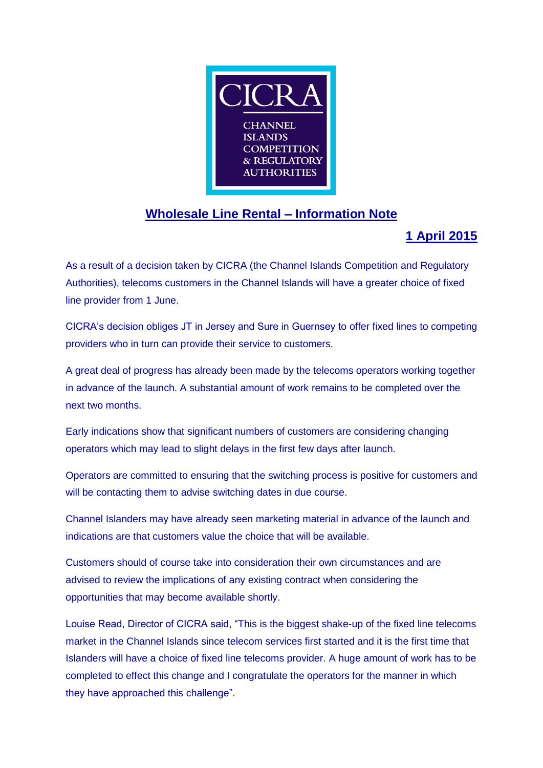

## **Wholesale Line Rental – Information Note**

## **1 April 2015**

As a result of a decision taken by CICRA (the Channel Islands Competition and Regulatory Authorities), telecoms customers in the Channel Islands will have a greater choice of fixed line provider from 1 June.

CICRA's decision obliges JT in Jersey and Sure in Guernsey to offer fixed lines to competing providers who in turn can provide their service to customers.

A great deal of progress has already been made by the telecoms operators working together in advance of the launch. A substantial amount of work remains to be completed over the next two months.

Early indications show that significant numbers of customers are considering changing operators which may lead to slight delays in the first few days after launch.

Operators are committed to ensuring that the switching process is positive for customers and will be contacting them to advise switching dates in due course.

Channel Islanders may have already seen marketing material in advance of the launch and indications are that customers value the choice that will be available.

Customers should of course take into consideration their own circumstances and are advised to review the implications of any existing contract when considering the opportunities that may become available shortly.

Louise Read, Director of CICRA said, "This is the biggest shake-up of the fixed line telecoms market in the Channel Islands since telecom services first started and it is the first time that Islanders will have a choice of fixed line telecoms provider. A huge amount of work has to be completed to effect this change and I congratulate the operators for the manner in which they have approached this challenge".